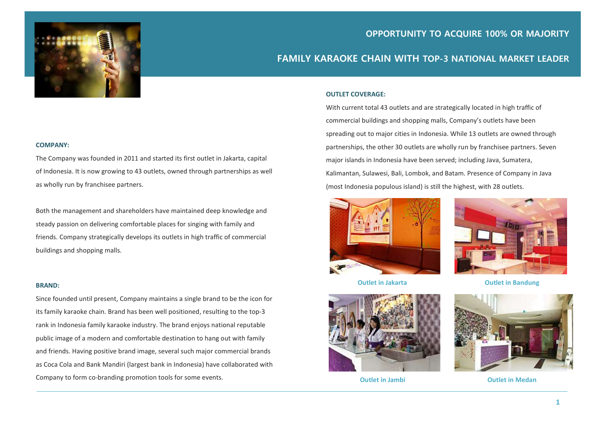

# OPPORTUNITY TO ACQUIRE 100% OR MAJORITY

# FAMILY KARAOKE CHAIN WITH TOP-3 NATIONAL MARKET LEADER

#### OUTLET COVERAGE:

With current total 43 outlets and are strategically located in high traffic of commercial buildings and shopping malls, Company's outlets have been spreading out to major cities in Indonesia. While 13 outlets are owned through partnerships, the other 30 outlets are wholly run by franchisee partners. Seven major islands in Indonesia have been served; including Java, Sumatera, Kalimantan, Sulawesi, Bali, Lombok, and Batam. Presence of Company in Java (most Indonesia populous island) is still the highest, with 28 outlets.





Outlet in Jakarta **Outlet in Bandung** 



Outlet in Jambi **Outlet in Medan** 



#### COMPANY:

The Company was founded in 2011 and started its first outlet in Jakarta, capital of Indonesia. It is now growing to 43 outlets, owned through partnerships as well as wholly run by franchisee partners.

 Both the management and shareholders have maintained deep knowledge and steady passion on delivering comfortable places for singing with family and friends. Company strategically develops its outlets in high traffic of commercial buildings and shopping malls.

#### BRAND:

Since founded until present, Company maintains a single brand to be the icon for its family karaoke chain. Brand has been well positioned, resulting to the top-3 rank in Indonesia family karaoke industry. The brand enjoys national reputable public image of a modern and comfortable destination to hang out with family and friends. Having positive brand image, several such major commercial brands as Coca Cola and Bank Mandiri (largest bank in Indonesia) have collaborated with Company to form co-branding promotion tools for some events.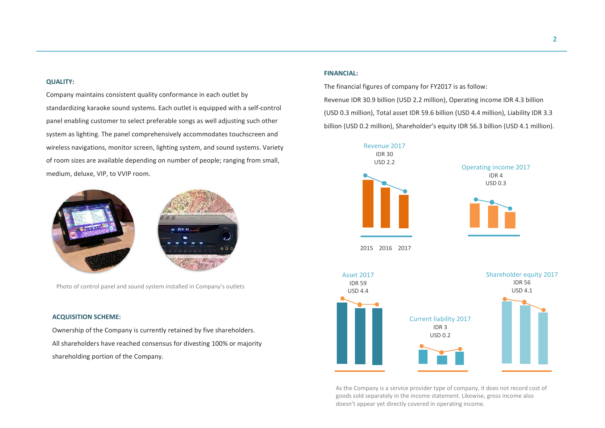### QUALITY:

panel enabling customer to select preferable songs as well adjusting such other Company maintains consistent quality conformance in each outlet by standardizing karaoke sound systems. Each outlet is equipped with a self-control system as lighting. The panel comprehensively accommodates touchscreen and wireless navigations, monitor screen, lighting system, and sound systems. Variety of room sizes are available depending on number of people; ranging from small, medium, deluxe, VIP, to VVIP room.



Photo of control panel and sound system installed in Company's outlets

### ACQUISITION SCHEME:

Ownership of the Company is currently retained by five shareholders. All shareholders have reached consensus for divesting 100% or majority shareholding portion of the Company.

## FINANCIAL:

The financial figures of company for FY2017 is as follow: Revenue IDR 30.9 billion (USD 2.2 million), Operating income IDR 4.3 billion (USD 0.3 million), Total asset IDR 59.6 billion (USD 4.4 million), Liability IDR 3.3 billion (USD 0.2 million), Shareholder's equity IDR 56.3 billion (USD 4.1 million).



As the Company is a service provider type of company, it does not record cost of goods sold separately in the income statement. Likewise, gross income also doesn't appear yet directly covered in operating income.